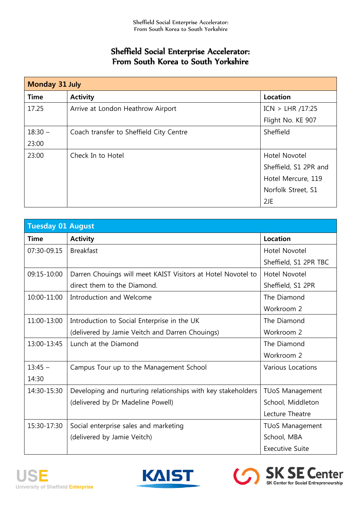## Sheffield Social Enterprise Accelerator: From South Korea to South Yorkshire

| Monday 31 July |                                         |                       |
|----------------|-----------------------------------------|-----------------------|
| <b>Time</b>    | <b>Activity</b>                         | Location              |
| 17.25          | Arrive at London Heathrow Airport       | ICN > LHR / 17:25     |
|                |                                         | Flight No. KE 907     |
| $18:30 -$      | Coach transfer to Sheffield City Centre | Sheffield             |
| 23:00          |                                         |                       |
| 23:00          | Check In to Hotel                       | Hotel Novotel         |
|                |                                         | Sheffield, S1 2PR and |
|                |                                         | Hotel Mercure, 119    |
|                |                                         | Norfolk Street, S1    |
|                |                                         | 2JE                   |

| <b>Tuesday 01 August</b> |                                                              |                          |
|--------------------------|--------------------------------------------------------------|--------------------------|
| <b>Time</b>              | <b>Activity</b>                                              | <b>Location</b>          |
| 07:30-09.15              | <b>Breakfast</b>                                             | Hotel Novotel            |
|                          |                                                              | Sheffield, S1 2PR TBC    |
| 09:15-10:00              | Darren Chouings will meet KAIST Visitors at Hotel Novotel to | <b>Hotel Novotel</b>     |
|                          | direct them to the Diamond.                                  | Sheffield, S1 2PR        |
| 10:00-11:00              | Introduction and Welcome                                     | The Diamond              |
|                          |                                                              | Workroom 2               |
| 11:00-13:00              | Introduction to Social Enterprise in the UK                  | The Diamond              |
|                          | (delivered by Jamie Veitch and Darren Chouings)              | Workroom 2               |
| 13:00-13:45              | Lunch at the Diamond                                         | The Diamond              |
|                          |                                                              | Workroom 2               |
| $13:45 -$                | Campus Tour up to the Management School                      | <b>Various Locations</b> |
| 14:30                    |                                                              |                          |
| 14:30-15:30              | Developing and nurturing relationships with key stakeholders | <b>TUoS Management</b>   |
|                          | (delivered by Dr Madeline Powell)                            | School, Middleton        |
|                          |                                                              | Lecture Theatre          |
| 15:30-17:30              | Social enterprise sales and marketing                        | <b>TUoS Management</b>   |
|                          | (delivered by Jamie Veitch)                                  | School, MBA              |
|                          |                                                              | <b>Executive Suite</b>   |





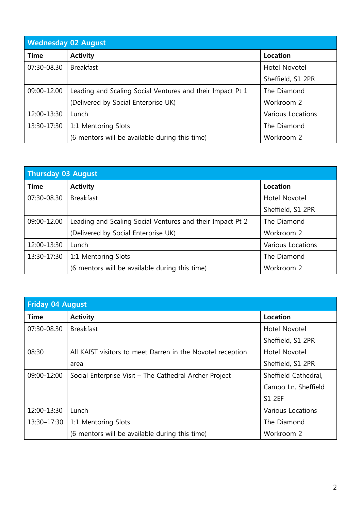| <b>Wednesday 02 August</b> |                                                           |                   |
|----------------------------|-----------------------------------------------------------|-------------------|
| <b>Time</b>                | <b>Activity</b>                                           | Location          |
| 07:30-08.30                | <b>Breakfast</b>                                          | Hotel Novotel     |
|                            |                                                           | Sheffield, S1 2PR |
| 09:00-12.00                | Leading and Scaling Social Ventures and their Impact Pt 1 | The Diamond       |
|                            | (Delivered by Social Enterprise UK)                       | Workroom 2        |
| 12:00-13:30                | Lunch                                                     | Various Locations |
| 13:30-17:30                | 1:1 Mentoring Slots                                       | The Diamond       |
|                            | (6 mentors will be available during this time)            | Workroom 2        |

| <b>Thursday 03 August</b> |                                                           |                   |
|---------------------------|-----------------------------------------------------------|-------------------|
| <b>Time</b>               | <b>Activity</b>                                           | Location          |
| 07:30-08.30               | <b>Breakfast</b>                                          | Hotel Novotel     |
|                           |                                                           | Sheffield, S1 2PR |
| 09:00-12.00               | Leading and Scaling Social Ventures and their Impact Pt 2 | The Diamond       |
|                           | (Delivered by Social Enterprise UK)                       | Workroom 2        |
| 12:00-13:30               | Lunch                                                     | Various Locations |
| 13:30-17:30               | 1:1 Mentoring Slots                                       | The Diamond       |
|                           | (6 mentors will be available during this time)            | Workroom 2        |

| <b>Friday 04 August</b> |                                                            |                      |
|-------------------------|------------------------------------------------------------|----------------------|
| <b>Time</b>             | <b>Activity</b>                                            | Location             |
| 07:30-08.30             | <b>Breakfast</b>                                           | Hotel Novotel        |
|                         |                                                            | Sheffield, S1 2PR    |
| 08:30                   | All KAIST visitors to meet Darren in the Novotel reception | Hotel Novotel        |
|                         | area                                                       | Sheffield, S1 2PR    |
| 09:00-12:00             | Social Enterprise Visit - The Cathedral Archer Project     | Sheffield Cathedral, |
|                         |                                                            | Campo Ln, Sheffield  |
|                         |                                                            | <b>S1 2EF</b>        |
| 12:00-13:30             | Lunch                                                      | Various Locations    |
| 13:30-17:30             | 1:1 Mentoring Slots                                        | The Diamond          |
|                         | (6 mentors will be available during this time)             | Workroom 2           |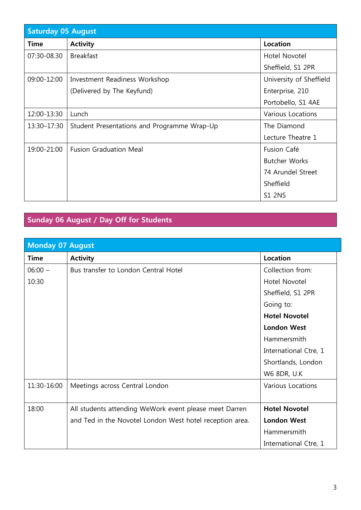| <b>Saturday 05 August</b> |                                             |                         |
|---------------------------|---------------------------------------------|-------------------------|
| <b>Time</b>               | <b>Activity</b>                             | Location                |
| 07:30-08.30               | <b>Breakfast</b>                            | Hotel Novotel           |
|                           |                                             | Sheffield, S1 2PR       |
| 09:00-12:00               | Investment Readiness Workshop               | University of Sheffield |
|                           | (Delivered by The Keyfund)                  | Enterprise, 210         |
|                           |                                             | Portobello, S1 4AE      |
| 12:00-13:30               | Lunch                                       | Various Locations       |
| 13:30-17:30               | Student Presentations and Programme Wrap-Up | The Diamond             |
|                           |                                             | Lecture Theatre 1       |
| 19:00-21:00               | <b>Fusion Graduation Meal</b>               | Fusion Café             |
|                           |                                             | <b>Butcher Works</b>    |
|                           |                                             | 74 Arundel Street       |
|                           |                                             | Sheffield               |
|                           |                                             | <b>S1 2NS</b>           |

## **Sunday 06 August / Day Off for Students**

| <b>Monday 07 August</b> |                                                          |                          |
|-------------------------|----------------------------------------------------------|--------------------------|
| <b>Time</b>             | <b>Activity</b>                                          | <b>Location</b>          |
| $06:00 -$               | Bus transfer to London Central Hotel                     | Collection from:         |
| 10:30                   |                                                          | Hotel Novotel            |
|                         |                                                          | Sheffield, S1 2PR        |
|                         |                                                          | Going to:                |
|                         |                                                          | <b>Hotel Novotel</b>     |
|                         |                                                          | <b>London West</b>       |
|                         |                                                          | Hammersmith              |
|                         |                                                          | International Ctre, 1    |
|                         |                                                          | Shortlands, London       |
|                         |                                                          | W6 8DR, U.K              |
| 11:30-16:00             | Meetings across Central London                           | <b>Various Locations</b> |
|                         |                                                          |                          |
| 18:00                   | All students attending WeWork event please meet Darren   | <b>Hotel Novotel</b>     |
|                         | and Ted in the Novotel London West hotel reception area. | <b>London West</b>       |
|                         |                                                          | Hammersmith              |
|                         |                                                          | International Ctre, 1    |